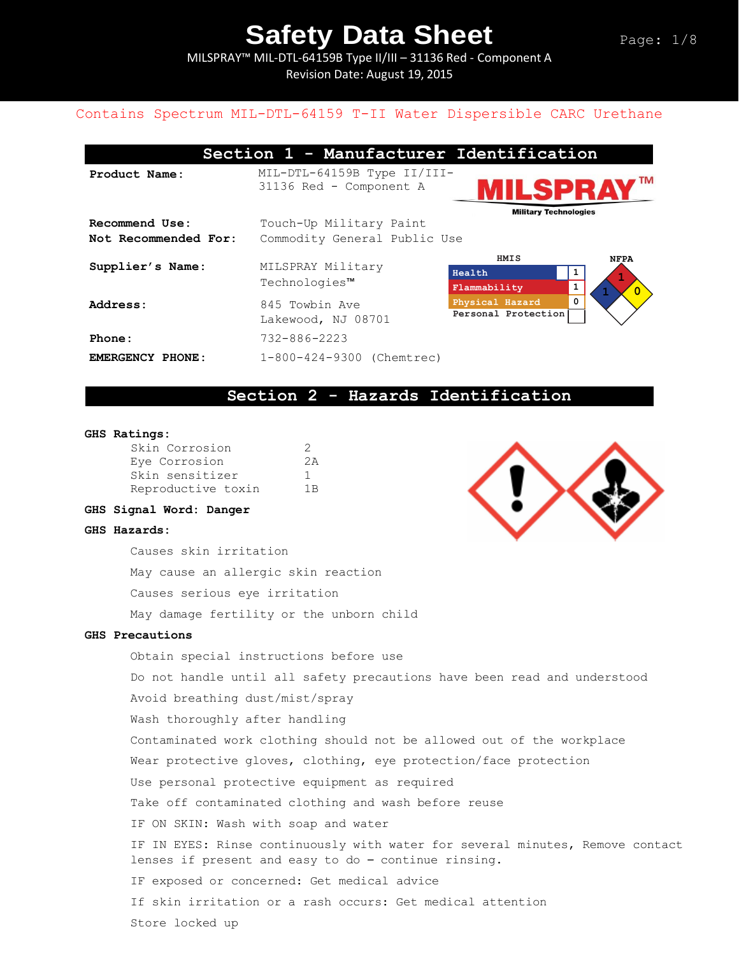MILSPRAY™ MIL-DTL-64159B Type II/III – 31136 Red - Component A Revision Date: August 19, 2015

#### Contains Spectrum MIL-DTL-64159 T-II Water Dispersible CARC Urethane

| Section 1 - Manufacturer Identification |                                                         |                                             |                             |  |
|-----------------------------------------|---------------------------------------------------------|---------------------------------------------|-----------------------------|--|
| Product Name:                           | MIL-DTL-64159B Type II/III-<br>31136 Red - Component A  | ILSPR/<br><b>Military Technologies</b>      | ΤM                          |  |
| Recommend Use:<br>Not Recommended For:  | Touch-Up Military Paint<br>Commodity General Public Use |                                             |                             |  |
| Supplier's Name:                        | MILSPRAY Military<br>Technologies™                      | HMIS<br>Health<br>Flammability              | <b>NFPA</b><br>$\mathbf{O}$ |  |
| Address:                                | 845 Towbin Ave<br>Lakewood, NJ 08701                    | 0<br>Physical Hazard<br>Personal Protection |                             |  |
| Phone:                                  | $732 - 886 - 2223$                                      |                                             |                             |  |
| <b>EMERGENCY PHONE:</b>                 | 1-800-424-9300 (Chemtrec)                               |                                             |                             |  |

### **Section 2 - Hazards Identification**

#### **GHS Ratings:**

| Skin Corrosion     | $\mathcal{D}$ |
|--------------------|---------------|
| Eye Corrosion      | クス            |
| Skin sensitizer    | п.            |
| Reproductive toxin | 1R            |

#### **GHS Signal Word: Danger**

#### **GHS Hazards:**

Causes skin irritation May cause an allergic skin reaction Causes serious eye irritation May damage fertility or the unborn child

#### **GHS Precautions**

Obtain special instructions before use Do not handle until all safety precautions have been read and understood Avoid breathing dust/mist/spray Wash thoroughly after handling Contaminated work clothing should not be allowed out of the workplace Wear protective gloves, clothing, eye protection/face protection Use personal protective equipment as required Take off contaminated clothing and wash before reuse IF ON SKIN: Wash with soap and water IF IN EYES: Rinse continuously with water for several minutes, Remove contact lenses if present and easy to do – continue rinsing. IF exposed or concerned: Get medical advice If skin irritation or a rash occurs: Get medical attention Store locked up

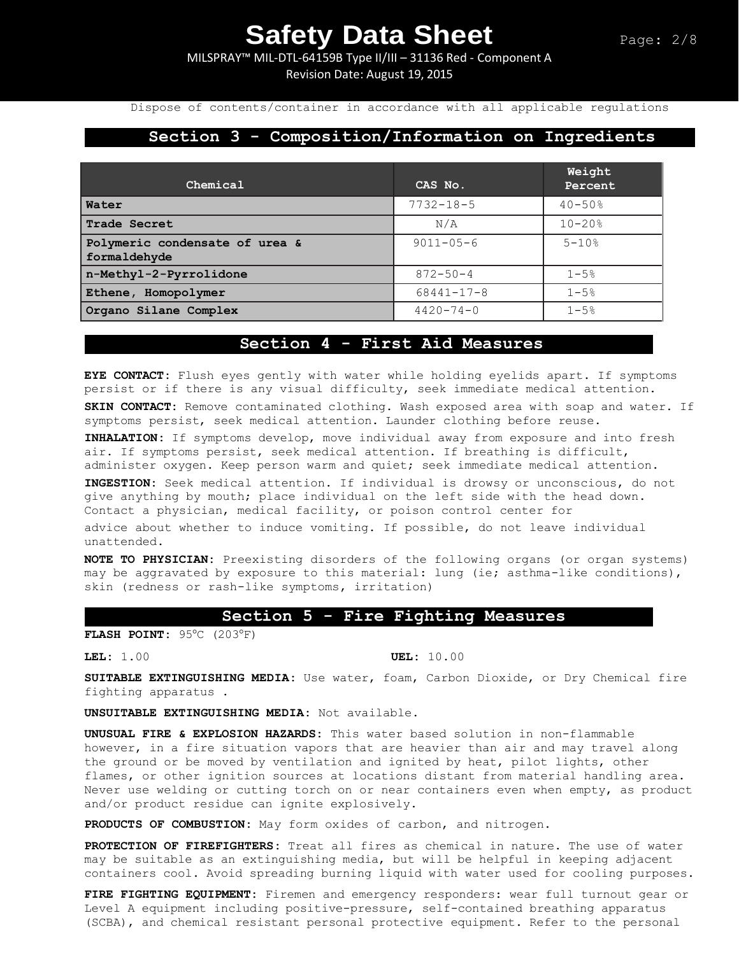MILSPRAY™ MIL-DTL-64159B Type II/III – 31136 Red - Component A Revision Date: August 19, 2015

Dispose of contents/container in accordance with all applicable regulations

### **Section 3 - Composition/Information on Ingredients**

| Chemical                                       | CAS No.          | Weight<br>Percent |
|------------------------------------------------|------------------|-------------------|
| Water                                          | $7732 - 18 - 5$  | $40 - 50$ %       |
| <b>Trade Secret</b>                            | N/A              | $10 - 20$ %       |
| Polymeric condensate of urea &<br>formaldehyde | $9011 - 05 - 6$  | $5 - 10%$         |
| n-Methyl-2-Pyrrolidone                         | $872 - 50 - 4$   | $1 - 5%$          |
| Ethene, Homopolymer                            | $68441 - 17 - 8$ | $1 - 5%$          |
| Organo Silane Complex                          | $4420 - 74 - 0$  | $1 - 5%$          |

## **Section 4 - First Aid Measures**

**EYE CONTACT:** Flush eyes gently with water while holding eyelids apart. If symptoms persist or if there is any visual difficulty, seek immediate medical attention.

**SKIN CONTACT:** Remove contaminated clothing. Wash exposed area with soap and water. If symptoms persist, seek medical attention. Launder clothing before reuse.

**INHALATION:** If symptoms develop, move individual away from exposure and into fresh air. If symptoms persist, seek medical attention. If breathing is difficult, administer oxygen. Keep person warm and quiet; seek immediate medical attention.

**INGESTION:** Seek medical attention. If individual is drowsy or unconscious, do not give anything by mouth; place individual on the left side with the head down. Contact a physician, medical facility, or poison control center for

advice about whether to induce vomiting. If possible, do not leave individual unattended.

**NOTE TO PHYSICIAN:** Preexisting disorders of the following organs (or organ systems) may be aggravated by exposure to this material: lung (ie; asthma-like conditions), skin (redness or rash-like symptoms, irritation)

### **Section 5 - Fire Fighting Measures**

**FLASH POINT:** 95°C (203°F)

**LEL:** 1.00 **UEL:** 10.00

**SUITABLE EXTINGUISHING MEDIA:** Use water, foam, Carbon Dioxide, or Dry Chemical fire fighting apparatus .

**UNSUITABLE EXTINGUISHING MEDIA:** Not available.

**UNUSUAL FIRE & EXPLOSION HAZARDS:** This water based solution in non-flammable however, in a fire situation vapors that are heavier than air and may travel along the ground or be moved by ventilation and ignited by heat, pilot lights, other flames, or other ignition sources at locations distant from material handling area. Never use welding or cutting torch on or near containers even when empty, as product and/or product residue can ignite explosively.

**PRODUCTS OF COMBUSTION:** May form oxides of carbon, and nitrogen.

**PROTECTION OF FIREFIGHTERS:** Treat all fires as chemical in nature. The use of water may be suitable as an extinguishing media, but will be helpful in keeping adjacent containers cool. Avoid spreading burning liquid with water used for cooling purposes.

**FIRE FIGHTING EQUIPMENT:** Firemen and emergency responders: wear full turnout gear or Level A equipment including positive-pressure, self-contained breathing apparatus (SCBA), and chemical resistant personal protective equipment. Refer to the personal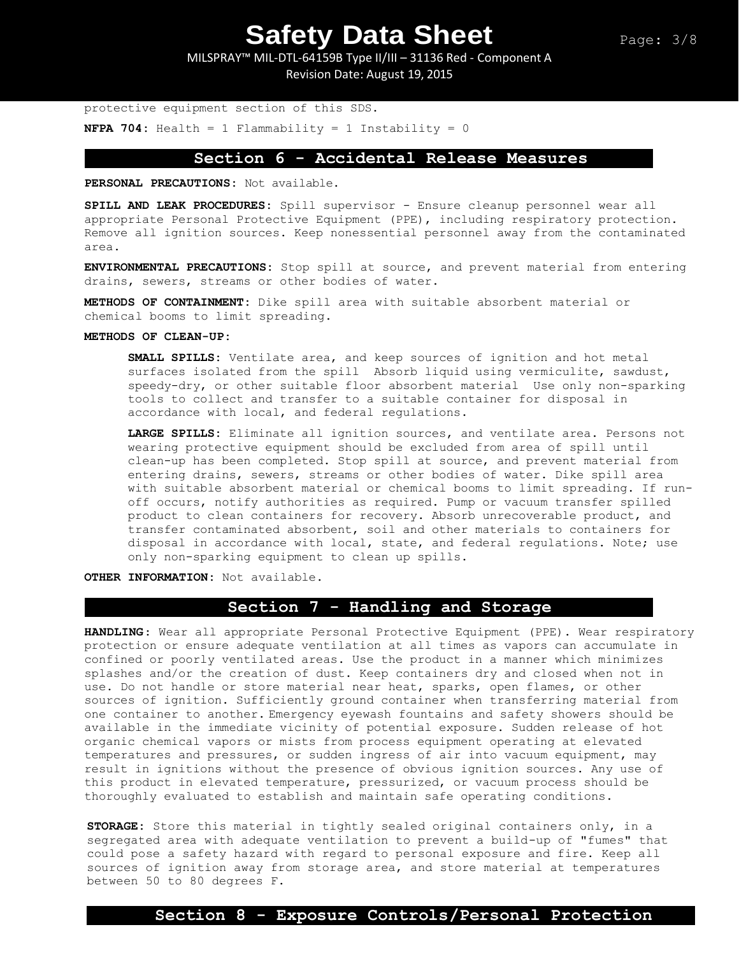MILSPRAY™ MIL-DTL-64159B Type II/III – 31136 Red - Component A Revision Date: August 19, 2015

protective equipment section of this SDS. **NFPA 704:** Health = 1 Flammability = 1 Instability = 0

## **Section 6 - Accidental Release Measures**

**PERSONAL PRECAUTIONS:** Not available.

**SPILL AND LEAK PROCEDURES:** Spill supervisor - Ensure cleanup personnel wear all appropriate Personal Protective Equipment (PPE), including respiratory protection. Remove all ignition sources. Keep nonessential personnel away from the contaminated area.

**ENVIRONMENTAL PRECAUTIONS:** Stop spill at source, and prevent material from entering drains, sewers, streams or other bodies of water.

**METHODS OF CONTAINMENT:** Dike spill area with suitable absorbent material or chemical booms to limit spreading.

#### **METHODS OF CLEAN-UP:**

**SMALL SPILLS:** Ventilate area, and keep sources of ignition and hot metal surfaces isolated from the spill Absorb liquid using vermiculite, sawdust, speedy-dry, or other suitable floor absorbent material Use only non-sparking tools to collect and transfer to a suitable container for disposal in accordance with local, and federal regulations.

**LARGE SPILLS:** Eliminate all ignition sources, and ventilate area. Persons not wearing protective equipment should be excluded from area of spill until clean-up has been completed. Stop spill at source, and prevent material from entering drains, sewers, streams or other bodies of water. Dike spill area with suitable absorbent material or chemical booms to limit spreading. If runoff occurs, notify authorities as required. Pump or vacuum transfer spilled product to clean containers for recovery. Absorb unrecoverable product, and transfer contaminated absorbent, soil and other materials to containers for disposal in accordance with local, state, and federal regulations. Note; use only non-sparking equipment to clean up spills.

**OTHER INFORMATION:** Not available.

## **Section 7 - Handling and Storage**

**HANDLING**: Wear all appropriate Personal Protective Equipment (PPE). Wear respiratory protection or ensure adequate ventilation at all times as vapors can accumulate in confined or poorly ventilated areas. Use the product in a manner which minimizes splashes and/or the creation of dust. Keep containers dry and closed when not in use. Do not handle or store material near heat, sparks, open flames, or other sources of ignition. Sufficiently ground container when transferring material from one container to another. Emergency eyewash fountains and safety showers should be available in the immediate vicinity of potential exposure. Sudden release of hot organic chemical vapors or mists from process equipment operating at elevated temperatures and pressures, or sudden ingress of air into vacuum equipment, may result in ignitions without the presence of obvious ignition sources. Any use of this product in elevated temperature, pressurized, or vacuum process should be thoroughly evaluated to establish and maintain safe operating conditions.

**STORAGE:** Store this material in tightly sealed original containers only, in a segregated area with adequate ventilation to prevent a build-up of "fumes" that could pose a safety hazard with regard to personal exposure and fire. Keep all sources of ignition away from storage area, and store material at temperatures between 50 to 80 degrees F.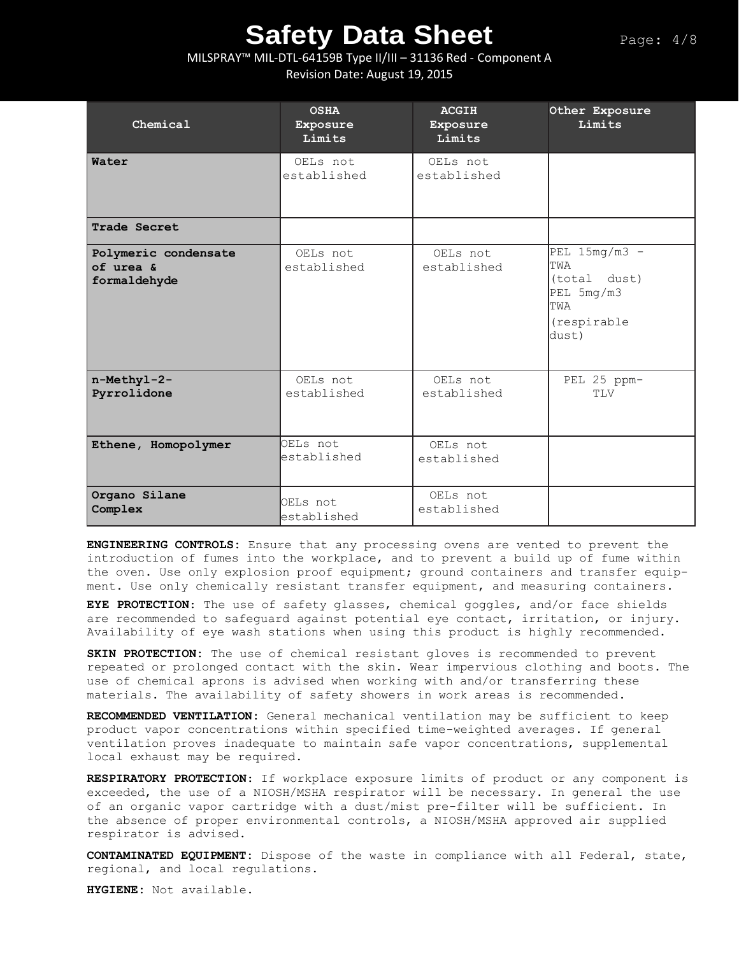### MILSPRAY™ MIL-DTL-64159B Type II/III – 31136 Red - Component A Revision Date: August 19, 2015

| Chemical                                          | <b>OSHA</b><br>Exposure<br>Limits | <b>ACGIH</b><br>Exposure<br>Limits | Other Exposure<br>Limits                                                                   |
|---------------------------------------------------|-----------------------------------|------------------------------------|--------------------------------------------------------------------------------------------|
| Water                                             | OELs not<br>established           | OELs not<br>established            |                                                                                            |
| Trade Secret                                      |                                   |                                    |                                                                                            |
| Polymeric condensate<br>of urea &<br>formaldehyde | OELs not<br>established           | OELs not<br>established            | PEL $15mg/m3$ -<br>TWA<br>(total dust)<br>PEL 5mg/m3<br><b>TWA</b><br>(respirable<br>dust) |
| n-Methyl-2-<br>Pyrrolidone                        | OELs not<br>established           | OELs not<br>established            | PEL 25 ppm-<br>TLV                                                                         |
| Ethene, Homopolymer                               | OELs not<br>established           | OELs not<br>established            |                                                                                            |
| Organo Silane<br>Complex                          | OELs not<br>established           | OELs not<br>established            |                                                                                            |

**ENGINEERING CONTROLS:** Ensure that any processing ovens are vented to prevent the introduction of fumes into the workplace, and to prevent a build up of fume within the oven. Use only explosion proof equipment; ground containers and transfer equipment. Use only chemically resistant transfer equipment, and measuring containers.

**EYE PROTECTION**: The use of safety glasses, chemical goggles, and/or face shields are recommended to safeguard against potential eye contact, irritation, or injury. Availability of eye wash stations when using this product is highly recommended.

**SKIN PROTECTION:** The use of chemical resistant gloves is recommended to prevent repeated or prolonged contact with the skin. Wear impervious clothing and boots. The use of chemical aprons is advised when working with and/or transferring these materials. The availability of safety showers in work areas is recommended**.** 

**RECOMMENDED VENTILATION:** General mechanical ventilation may be sufficient to keep product vapor concentrations within specified time-weighted averages. If general ventilation proves inadequate to maintain safe vapor concentrations, supplemental local exhaust may be required.

**RESPIRATORY PROTECTION**: If workplace exposure limits of product or any component is exceeded, the use of a NIOSH/MSHA respirator will be necessary. In general the use of an organic vapor cartridge with a dust/mist pre-filter will be sufficient. In the absence of proper environmental controls, a NIOSH/MSHA approved air supplied respirator is advised.

**CONTAMINATED EQUIPMENT:** Dispose of the waste in compliance with all Federal, state, regional, and local regulations.

**HYGIENE:** Not available.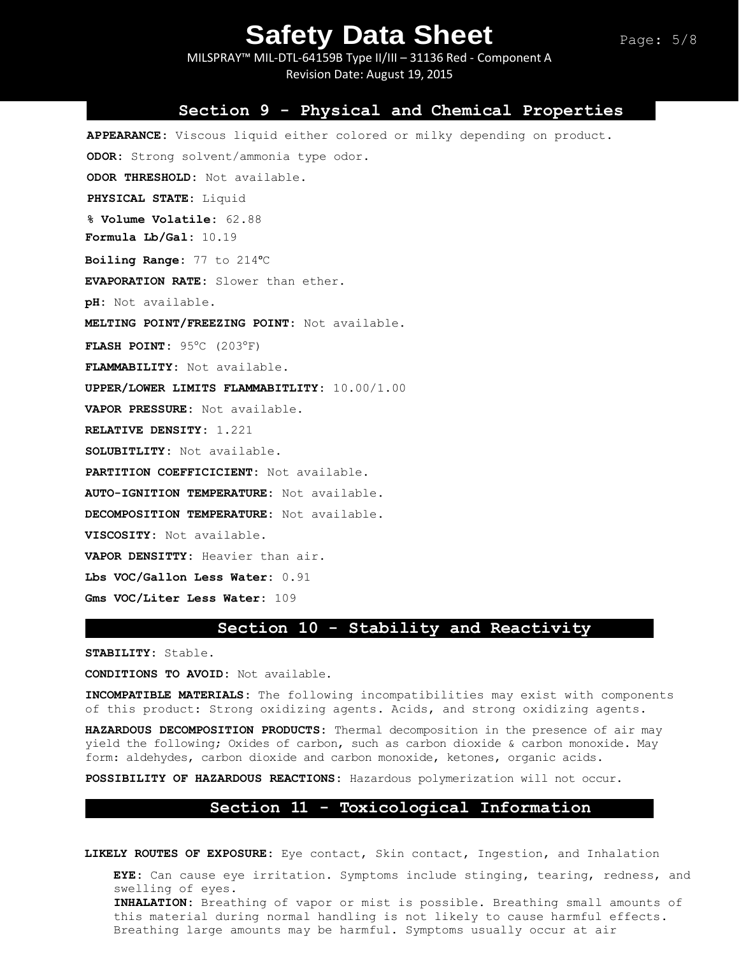MILSPRAY™ MIL-DTL-64159B Type II/III – 31136 Red - Component A Revision Date: August 19, 2015

#### **Section 9 - Physical and Chemical Properties**

**APPEARANCE:** Viscous liquid either colored or milky depending on product. **ODOR:** Strong solvent/ammonia type odor. **ODOR THRESHOLD:** Not available. **PHYSICAL STATE:** Liquid **% Volume Volatile:** 62.88 **Formula Lb/Gal:** 10.19 **Boiling Range:** 77 to 214ᵒC **EVAPORATION RATE:** Slower than ether. **pH:** Not available. **MELTING POINT/FREEZING POINT:** Not available. **FLASH POINT: 95°C (203°F) FLAMMABILITY:** Not available. **UPPER/LOWER LIMITS FLAMMABITLITY:** 10.00/1.00 **VAPOR PRESSURE:** Not available. **RELATIVE DENSITY:** 1.221 **SOLUBITLITY:** Not available. **PARTITION COEFFICICIENT:** Not available. **AUTO-IGNITION TEMPERATURE:** Not available. **DECOMPOSITION TEMPERATURE:** Not available. **VISCOSITY:** Not available. **VAPOR DENSITTY:** Heavier than air. **Lbs VOC/Gallon Less Water:** 0.91 **Gms VOC/Liter Less Water:** 109

#### **Section 10 - Stability and Reactivity**

**STABILITY:** Stable.

**CONDITIONS TO AVOID:** Not available.

**INCOMPATIBLE MATERIALS:** The following incompatibilities may exist with components of this product: Strong oxidizing agents. Acids, and strong oxidizing agents.

**HAZARDOUS DECOMPOSITION PRODUCTS:** Thermal decomposition in the presence of air may yield the following; Oxides of carbon, such as carbon dioxide & carbon monoxide. May form: aldehydes, carbon dioxide and carbon monoxide, ketones, organic acids.

**POSSIBILITY OF HAZARDOUS REACTIONS:** Hazardous polymerization will not occur.

### **Section 11 - Toxicological Information**

**LIKELY ROUTES OF EXPOSURE:** Eye contact, Skin contact, Ingestion, and Inhalation

**EYE:** Can cause eye irritation. Symptoms include stinging, tearing, redness, and swelling of eyes. **INHALATION:** Breathing of vapor or mist is possible. Breathing small amounts of this material during normal handling is not likely to cause harmful effects. Breathing large amounts may be harmful. Symptoms usually occur at air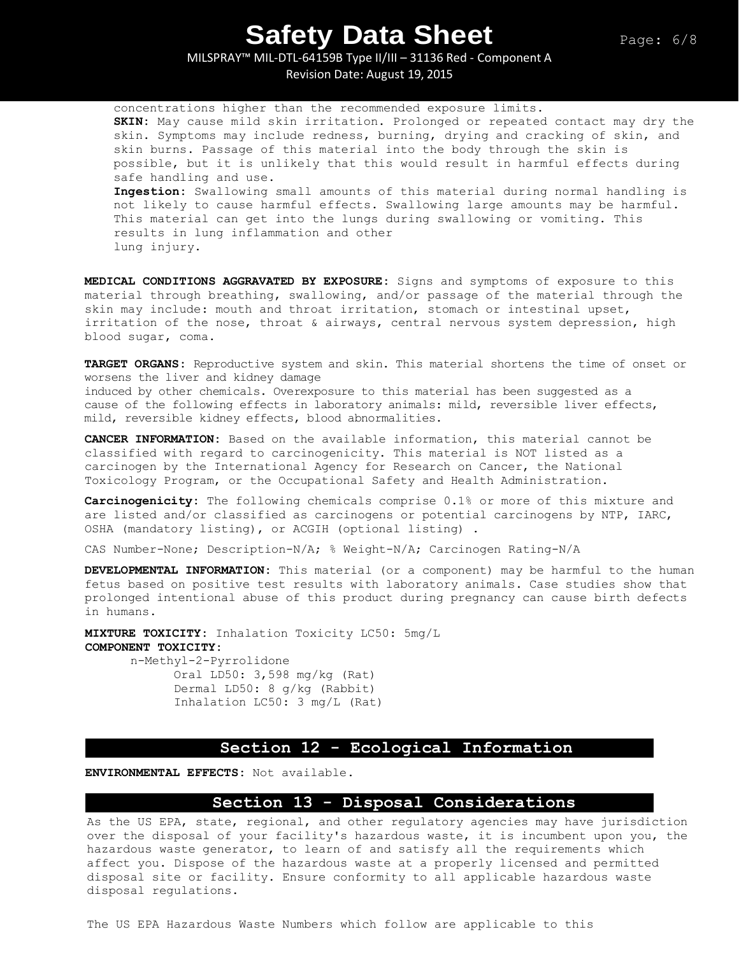MILSPRAY™ MIL-DTL-64159B Type II/III – 31136 Red - Component A

Revision Date: August 19, 2015

concentrations higher than the recommended exposure limits. **SKIN:** May cause mild skin irritation. Prolonged or repeated contact may dry the skin. Symptoms may include redness, burning, drying and cracking of skin, and skin burns. Passage of this material into the body through the skin is possible, but it is unlikely that this would result in harmful effects during safe handling and use. **Ingestion:** Swallowing small amounts of this material during normal handling is not likely to cause harmful effects. Swallowing large amounts may be harmful. This material can get into the lungs during swallowing or vomiting. This results in lung inflammation and other lung injury.

**MEDICAL CONDITIONS AGGRAVATED BY EXPOSURE:** Signs and symptoms of exposure to this material through breathing, swallowing, and/or passage of the material through the skin may include: mouth and throat irritation, stomach or intestinal upset, irritation of the nose, throat & airways, central nervous system depression, high blood sugar, coma.

**TARGET ORGANS:** Reproductive system and skin. This material shortens the time of onset or worsens the liver and kidney damage

induced by other chemicals. Overexposure to this material has been suggested as a cause of the following effects in laboratory animals: mild, reversible liver effects, mild, reversible kidney effects, blood abnormalities.

**CANCER INFORMATION:** Based on the available information, this material cannot be classified with regard to carcinogenicity. This material is NOT listed as a carcinogen by the International Agency for Research on Cancer, the National Toxicology Program, or the Occupational Safety and Health Administration.

**Carcinogenicity:** The following chemicals comprise 0.1% or more of this mixture and are listed and/or classified as carcinogens or potential carcinogens by NTP, IARC, OSHA (mandatory listing), or ACGIH (optional listing) .

CAS Number-None; Description-N/A; % Weight-N/A; Carcinogen Rating-N/A

**DEVELOPMENTAL INFORMATION:** This material (or a component) may be harmful to the human fetus based on positive test results with laboratory animals. Case studies show that prolonged intentional abuse of this product during pregnancy can cause birth defects in humans.

**MIXTURE TOXICITY:** Inhalation Toxicity LC50: 5mg/L **COMPONENT TOXICITY:** n-Methyl-2-Pyrrolidone Oral LD50: 3,598 mg/kg (Rat)

Dermal LD50: 8 g/kg (Rabbit) Inhalation LC50: 3 mg/L (Rat)

#### **Section 12 - Ecological Information**

**ENVIRONMENTAL EFFECTS:** Not available.

#### **Section 13 - Disposal Considerations**

As the US EPA, state, regional, and other regulatory agencies may have jurisdiction over the disposal of your facility's hazardous waste, it is incumbent upon you, the hazardous waste generator, to learn of and satisfy all the requirements which affect you. Dispose of the hazardous waste at a properly licensed and permitted disposal site or facility. Ensure conformity to all applicable hazardous waste disposal regulations.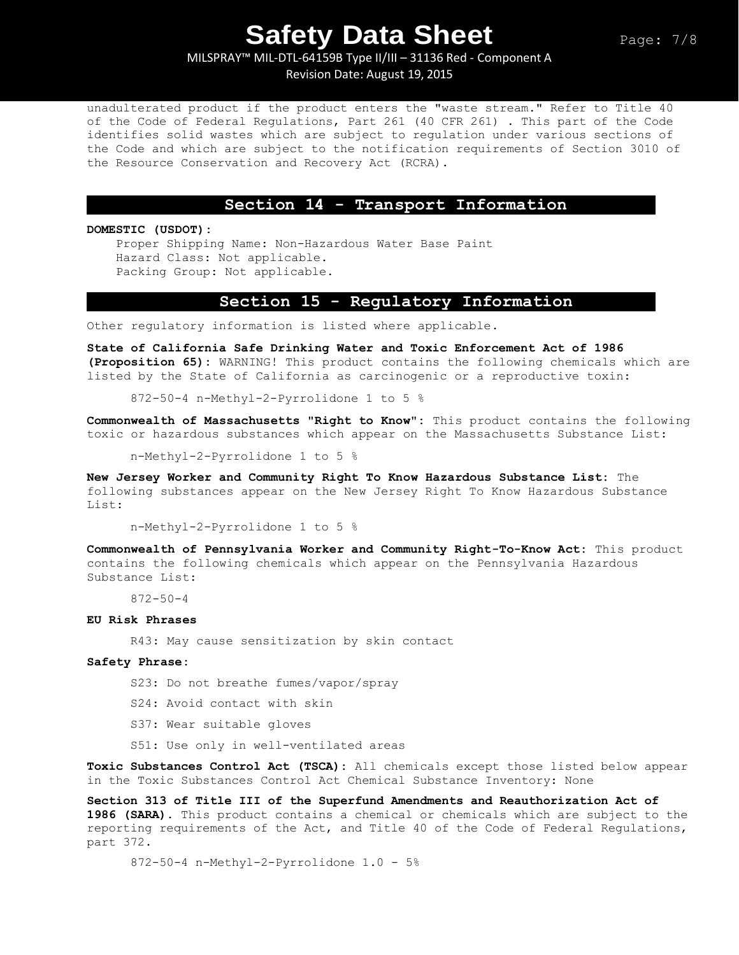### MILSPRAY™ MIL-DTL-64159B Type II/III – 31136 Red - Component A Revision Date: August 19, 2015

unadulterated product if the product enters the "waste stream." Refer to Title 40 of the Code of Federal Regulations, Part 261 (40 CFR 261) . This part of the Code identifies solid wastes which are subject to regulation under various sections of the Code and which are subject to the notification requirements of Section 3010 of the Resource Conservation and Recovery Act (RCRA).

#### **Section 14 - Transport Information**

#### **DOMESTIC (USDOT):**

Proper Shipping Name: Non-Hazardous Water Base Paint Hazard Class: Not applicable. Packing Group: Not applicable.

## **Section 15 - Regulatory Information**

Other regulatory information is listed where applicable.

**State of California Safe Drinking Water and Toxic Enforcement Act of 1986 (Proposition 65):** WARNING! This product contains the following chemicals which are listed by the State of California as carcinogenic or a reproductive toxin:

872-50-4 n-Methyl-2-Pyrrolidone 1 to 5 %

**Commonwealth of Massachusetts "Right to Know":** This product contains the following toxic or hazardous substances which appear on the Massachusetts Substance List:

n-Methyl-2-Pyrrolidone 1 to 5 %

**New Jersey Worker and Community Right To Know Hazardous Substance List:** The following substances appear on the New Jersey Right To Know Hazardous Substance List:

n-Methyl-2-Pyrrolidone 1 to 5 %

**Commonwealth of Pennsylvania Worker and Community Right-To-Know Act:** This product contains the following chemicals which appear on the Pennsylvania Hazardous Substance List:

872-50-4

#### **EU Risk Phrases**

R43: May cause sensitization by skin contact

#### **Safety Phrase:**

S23: Do not breathe fumes/vapor/spray

- S24: Avoid contact with skin
- S37: Wear suitable gloves
- S51: Use only in well-ventilated areas

**Toxic Substances Control Act (TSCA):** All chemicals except those listed below appear in the Toxic Substances Control Act Chemical Substance Inventory: None

**Section 313 of Title III of the Superfund Amendments and Reauthorization Act of 1986 (SARA).** This product contains a chemical or chemicals which are subject to the reporting requirements of the Act, and Title 40 of the Code of Federal Regulations, part 372.

#### 872-50-4 n-Methyl-2-Pyrrolidone 1.0 - 5%